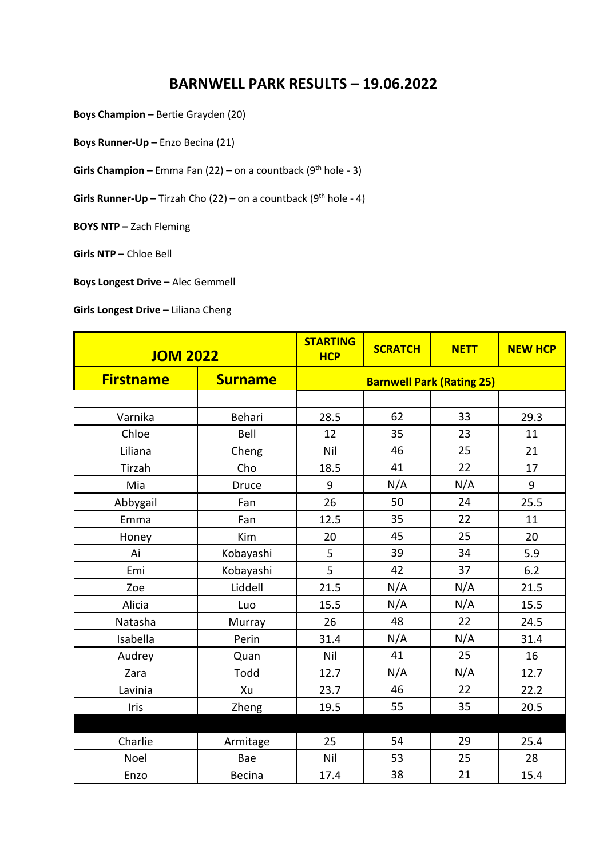## **BARNWELL PARK RESULTS – 19.06.2022**

**Boys Champion –** Bertie Grayden (20)

**Boys Runner-Up –** Enzo Becina (21)

**Girls Champion –** Emma Fan (22) – on a countback (9<sup>th</sup> hole - 3)

**Girls Runner-Up –** Tirzah Cho (22) – on a countback (9<sup>th</sup> hole - 4)

**BOYS NTP –** Zach Fleming

**Girls NTP –** Chloe Bell

**Boys Longest Drive –** Alec Gemmell

## **Girls Longest Drive - Liliana Cheng**

| <b>JOM 2022</b>  |                | <b>STARTING</b><br><b>HCP</b>    | <b>SCRATCH</b> | <b>NETT</b> | <b>NEW HCP</b> |  |
|------------------|----------------|----------------------------------|----------------|-------------|----------------|--|
| <b>Firstname</b> | <b>Surname</b> | <b>Barnwell Park (Rating 25)</b> |                |             |                |  |
|                  |                |                                  |                |             |                |  |
| Varnika          | Behari         | 28.5                             | 62             | 33          | 29.3           |  |
| Chloe            | Bell           | 12                               | 35             | 23          | 11             |  |
| Liliana          | Cheng          | Nil                              | 46             | 25          | 21             |  |
| Tirzah           | Cho            | 18.5                             | 41             | 22          | 17             |  |
| Mia              | Druce          | 9                                | N/A            | N/A         | 9              |  |
| Abbygail         | Fan            | 26                               | 50             | 24          | 25.5           |  |
| Emma             | Fan            | 12.5                             | 35             | 22          | 11             |  |
| Honey            | Kim            | 20                               | 45             | 25          | 20             |  |
| Ai               | Kobayashi      | 5                                | 39             | 34          | 5.9            |  |
| Emi              | Kobayashi      | 5                                | 42             | 37          | 6.2            |  |
| Zoe              | Liddell        | 21.5                             | N/A            | N/A         | 21.5           |  |
| Alicia           | Luo            | 15.5                             | N/A            | N/A         | 15.5           |  |
| Natasha          | Murray         | 26                               | 48             | 22          | 24.5           |  |
| Isabella         | Perin          | 31.4                             | N/A            | N/A         | 31.4           |  |
| Audrey           | Quan           | Nil                              | 41             | 25          | 16             |  |
| Zara             | Todd           | 12.7                             | N/A            | N/A         | 12.7           |  |
| Lavinia          | Xu             | 23.7                             | 46             | 22          | 22.2           |  |
| <b>Iris</b>      | Zheng          | 19.5                             | 55             | 35          | 20.5           |  |
|                  |                |                                  |                |             |                |  |
| Charlie          | Armitage       | 25                               | 54             | 29          | 25.4           |  |
| Noel             | Bae            | Nil                              | 53             | 25          | 28             |  |
| Enzo             | Becina         | 17.4                             | 38             | 21          | 15.4           |  |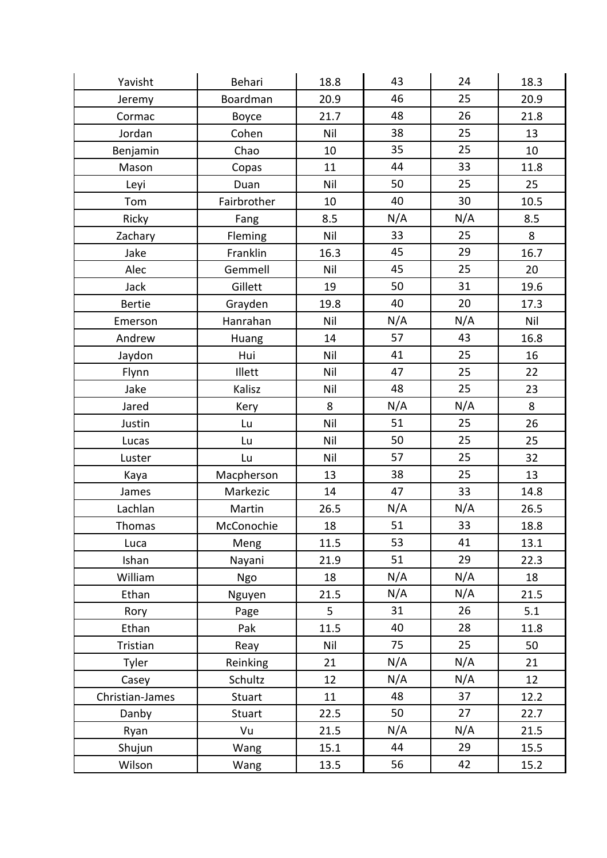| Yavisht         | Behari        | 18.8 | 43  | 24  | 18.3 |
|-----------------|---------------|------|-----|-----|------|
| Jeremy          | Boardman      | 20.9 | 46  | 25  | 20.9 |
| Cormac          | Boyce         | 21.7 | 48  | 26  | 21.8 |
| Jordan          | Cohen         | Nil  | 38  | 25  | 13   |
| Benjamin        | Chao          | 10   | 35  | 25  | 10   |
| Mason           | Copas         | 11   | 44  | 33  | 11.8 |
| Leyi            | Duan          | Nil  | 50  | 25  | 25   |
| Tom             | Fairbrother   | 10   | 40  | 30  | 10.5 |
| Ricky           | Fang          | 8.5  | N/A | N/A | 8.5  |
| Zachary         | Fleming       | Nil  | 33  | 25  | 8    |
| Jake            | Franklin      | 16.3 | 45  | 29  | 16.7 |
| Alec            | Gemmell       | Nil  | 45  | 25  | 20   |
| Jack            | Gillett       | 19   | 50  | 31  | 19.6 |
| <b>Bertie</b>   | Grayden       | 19.8 | 40  | 20  | 17.3 |
| Emerson         | Hanrahan      | Nil  | N/A | N/A | Nil  |
| Andrew          | Huang         | 14   | 57  | 43  | 16.8 |
| Jaydon          | Hui           | Nil  | 41  | 25  | 16   |
| Flynn           | Illett        | Nil  | 47  | 25  | 22   |
| Jake            | Kalisz        | Nil  | 48  | 25  | 23   |
| Jared           | Kery          | 8    | N/A | N/A | 8    |
| Justin          | Lu            | Nil  | 51  | 25  | 26   |
| Lucas           | Lu            | Nil  | 50  | 25  | 25   |
| Luster          | Lu            | Nil  | 57  | 25  | 32   |
| Kaya            | Macpherson    | 13   | 38  | 25  | 13   |
| James           | Markezic      | 14   | 47  | 33  | 14.8 |
| Lachlan         | Martin        | 26.5 | N/A | N/A | 26.5 |
| Thomas          | McConochie    | 18   | 51  | 33  | 18.8 |
| Luca            | Meng          | 11.5 | 53  | 41  | 13.1 |
| Ishan           | Nayani        | 21.9 | 51  | 29  | 22.3 |
| William         | Ngo           | 18   | N/A | N/A | 18   |
| Ethan           | Nguyen        | 21.5 | N/A | N/A | 21.5 |
| Rory            | Page          | 5    | 31  | 26  | 5.1  |
| Ethan           | Pak           | 11.5 | 40  | 28  | 11.8 |
| Tristian        | Reay          | Nil  | 75  | 25  | 50   |
| Tyler           | Reinking      | 21   | N/A | N/A | 21   |
| Casey           | Schultz       | 12   | N/A | N/A | 12   |
| Christian-James | Stuart        | 11   | 48  | 37  | 12.2 |
| Danby           | <b>Stuart</b> | 22.5 | 50  | 27  | 22.7 |
| Ryan            | Vu            | 21.5 | N/A | N/A | 21.5 |
| Shujun          | Wang          | 15.1 | 44  | 29  | 15.5 |
| Wilson          | Wang          | 13.5 | 56  | 42  | 15.2 |